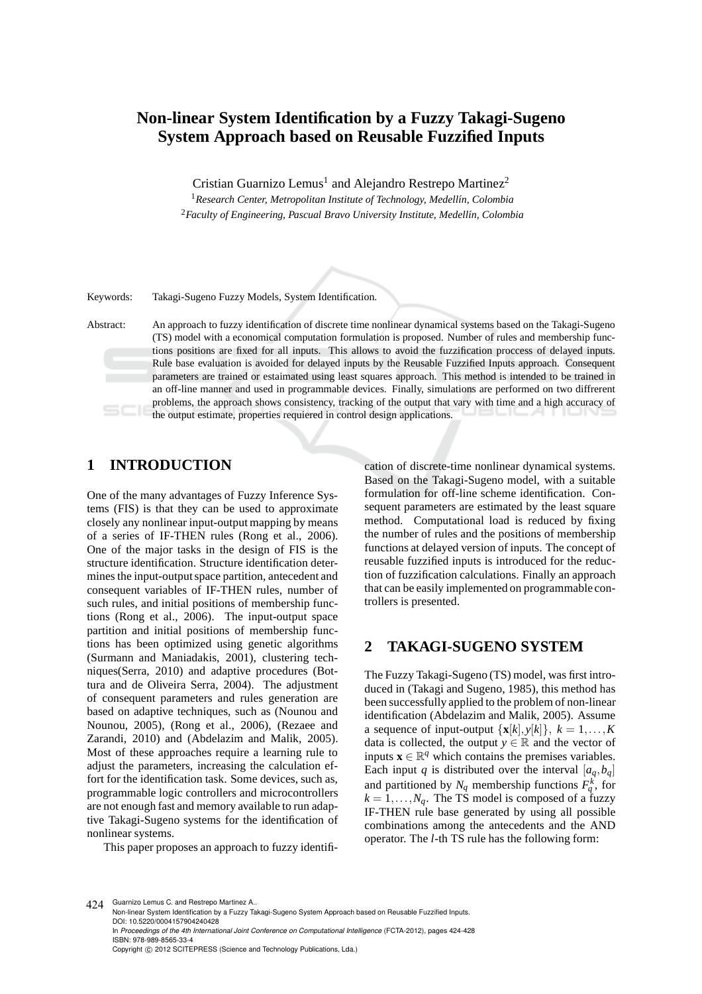# **Non-linear System Identification by a Fuzzy Takagi-Sugeno System Approach based on Reusable Fuzzified Inputs**

Cristian Guarnizo Lemus<sup>1</sup> and Alejandro Restrepo Martinez<sup>2</sup>

<sup>1</sup> Research Center, Metropolitan Institute of Technology, Medellín, Colombia <sup>2</sup> Faculty of Engineering, Pascual Bravo University Institute, Medellín, Colombia

Keywords: Takagi-Sugeno Fuzzy Models, System Identification.

Abstract: An approach to fuzzy identification of discrete time nonlinear dynamical systems based on the Takagi-Sugeno (TS) model with a economical computation formulation is proposed. Number of rules and membership functions positions are fixed for all inputs. This allows to avoid the fuzzification proccess of delayed inputs. Rule base evaluation is avoided for delayed inputs by the Reusable Fuzzified Inputs approach. Consequent parameters are trained or estaimated using least squares approach. This method is intended to be trained in an off-line manner and used in programmable devices. Finally, simulations are performed on two diffrerent problems, the approach shows consistency, tracking of the output that vary with time and a high accuracy of the output estimate, properties requiered in control design applications.

# **1 INTRODUCTION**

One of the many advantages of Fuzzy Inference Systems (FIS) is that they can be used to approximate closely any nonlinear input-output mapping by means of a series of IF-THEN rules (Rong et al., 2006). One of the major tasks in the design of FIS is the structure identification. Structure identification determines the input-output space partition, antecedent and consequent variables of IF-THEN rules, number of such rules, and initial positions of membership functions (Rong et al., 2006). The input-output space partition and initial positions of membership functions has been optimized using genetic algorithms (Surmann and Maniadakis, 2001), clustering techniques(Serra, 2010) and adaptive procedures (Bottura and de Oliveira Serra, 2004). The adjustment of consequent parameters and rules generation are based on adaptive techniques, such as (Nounou and Nounou, 2005), (Rong et al., 2006), (Rezaee and Zarandi, 2010) and (Abdelazim and Malik, 2005). Most of these approaches require a learning rule to adjust the parameters, increasing the calculation effort for the identification task. Some devices, such as, programmable logic controllers and microcontrollers are not enough fast and memory available to run adaptive Takagi-Sugeno systems for the identification of nonlinear systems.

This paper proposes an approach to fuzzy identifi-

cation of discrete-time nonlinear dynamical systems. Based on the Takagi-Sugeno model, with a suitable formulation for off-line scheme identification. Consequent parameters are estimated by the least square method. Computational load is reduced by fixing the number of rules and the positions of membership functions at delayed version of inputs. The concept of reusable fuzzified inputs is introduced for the reduction of fuzzification calculations. Finally an approach that can be easily implemented on programmable controllers is presented.

### **2 TAKAGI-SUGENO SYSTEM**

The Fuzzy Takagi-Sugeno (TS) model, was first introduced in (Takagi and Sugeno, 1985), this method has been successfully applied to the problem of non-linear identification (Abdelazim and Malik, 2005). Assume a sequence of input-output  $\{x[k], y[k]\}, k = 1, \ldots, K$ data is collected, the output  $y \in \mathbb{R}$  and the vector of inputs  $\mathbf{x} \in \mathbb{R}^q$  which contains the premises variables. Each input *q* is distributed over the interval  $[a_q, b_q]$ and partitioned by  $N_q$  membership functions  $F_q^k$ , for  $k = 1, \ldots, N_q$ . The TS model is composed of a fuzzy IF-THEN rule base generated by using all possible combinations among the antecedents and the AND operator. The *l*-th TS rule has the following form:

424 Guarnizo Lemus C. and Restrepo Martinez A. Non-linear System Identification by a Fuzzy Takagi-Sugeno System Approach based on Reusable Fuzzified Inputs.

DOI: 10.5220/0004157904240428 In *Proceedings of the 4th International Joint Conference on Computational Intelligence* (FCTA-2012), pages 424-428 ISBN: 978-989-8565-33-4

Copyright © 2012 SCITEPRESS (Science and Technology Publications, Lda.)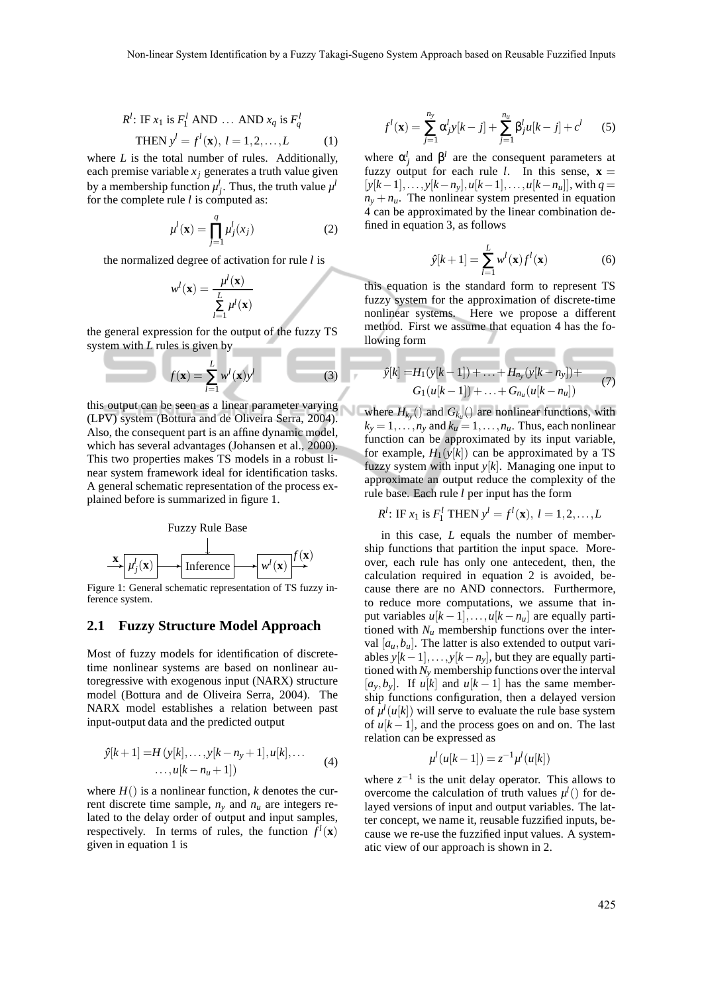$$
R1: IF x1 is F11 AND ... AND xq is Fq1
$$
  
THEN y<sup>1</sup> = f<sup>1</sup>(**x**), l = 1,2,...,L (1)

where *L* is the total number of rules. Additionally, each premise variable  $x_j$  generates a truth value given by a membership function  $\mu_j^l$ . Thus, the truth value  $\mu^l$ for the complete rule *l* is computed as:

$$
\mu^l(\mathbf{x}) = \prod_{j=1}^q \mu_j^l(x_j) \tag{2}
$$

the normalized degree of activation for rule *l* is

$$
w^{l}(\mathbf{x}) = \frac{\mu^{l}(\mathbf{x})}{\sum_{l=1}^{L} \mu^{l}(\mathbf{x})}
$$

the general expression for the output of the fuzzy TS system with *L* rules is given by

$$
f(\mathbf{x}) = \sum_{l=1}^{L} w^{l}(\mathbf{x}) y^{l}
$$
 (3)

this output can be seen as a linear parameter varying (LPV) system (Bottura and de Oliveira Serra, 2004). Also, the consequent part is an affine dynamic model, which has several advantages (Johansen et al., 2000). This two properties makes TS models in a robust linear system framework ideal for identification tasks. A general schematic representation of the process explained before is summarized in figure 1.



Figure 1: General schematic representation of TS fuzzy inference system.

### **2.1 Fuzzy Structure Model Approach**

Most of fuzzy models for identification of discretetime nonlinear systems are based on nonlinear autoregressive with exogenous input (NARX) structure model (Bottura and de Oliveira Serra, 2004). The NARX model establishes a relation between past input-output data and the predicted output

$$
\hat{y}[k+1] = H(y[k], \dots, y[k-n_y+1], u[k], \dots
$$
  

$$
\dots, u[k-n_u+1])
$$
 (4)

where  $H()$  is a nonlinear function, *k* denotes the current discrete time sample,  $n<sub>y</sub>$  and  $n<sub>u</sub>$  are integers related to the delay order of output and input samples, respectively. In terms of rules, the function  $f^l(\mathbf{x})$ given in equation 1 is

$$
f^{l}(\mathbf{x}) = \sum_{j=1}^{n_{y}} \alpha_{j}^{l} y[k-j] + \sum_{j=1}^{n_{u}} \beta_{j}^{l} u[k-j] + c^{l} \qquad (5)
$$

where  $\alpha_j^l$  and  $\beta^l$  are the consequent parameters at fuzzy output for each rule *l*. In this sense,  $\mathbf{x} =$  $[y[k-1], \ldots, y[k-n_v], u[k-1], \ldots, u[k-n_u]],$  with  $q =$  $n_y + n_u$ . The nonlinear system presented in equation 4 can be approximated by the linear combination defined in equation 3, as follows

$$
\hat{y}[k+1] = \sum_{l=1}^{L} w^l(\mathbf{x}) f^l(\mathbf{x})
$$
\n(6)

this equation is the standard form to represent TS fuzzy system for the approximation of discrete-time nonlinear systems. Here we propose a different method. First we assume that equation 4 has the following form

$$
\hat{y}[k] = H_1(y[k-1]) + \ldots + H_{n_y}(y[k-n_y]) +
$$
  
\n
$$
G_1(u[k-1]) + \ldots + G_{n_u}(u[k-n_u])
$$
\n(7)

where  $H_{k_y}$  () and  $G_{k_u}$  () are nonlinear functions, with  $k_y = 1, \ldots, n_y$  and  $k_u = 1, \ldots, n_u$ . Thus, each nonlinear function can be approximated by its input variable, for example,  $H_1(y[k])$  can be approximated by a TS fuzzy system with input *y*[*k*]. Managing one input to approximate an output reduce the complexity of the rule base. Each rule *l* per input has the form

$$
R^l
$$
: IF  $x_1$  is  $F_1^l$  THEN  $y^l = f^l(\mathbf{x}), l = 1, 2, ..., L$ 

in this case, *L* equals the number of membership functions that partition the input space. Moreover, each rule has only one antecedent, then, the calculation required in equation 2 is avoided, because there are no AND connectors. Furthermore, to reduce more computations, we assume that input variables  $u[k-1], \ldots, u[k-n_u]$  are equally partitioned with  $N<sub>u</sub>$  membership functions over the interval  $[a<sub>u</sub>, b<sub>u</sub>]$ . The latter is also extended to output variables  $y[k-1], \ldots, y[k-n_v]$ , but they are equally partitioned with  $N_v$  membership functions over the interval  $[a_v, b_v]$ . If  $u[k]$  and  $u[k-1]$  has the same membership functions configuration, then a delayed version of  $\mu^{l}(u[k])$  will serve to evaluate the rule base system of  $u[k-1]$ , and the process goes on and on. The last relation can be expressed as

$$
\mu^l(u[k-1]) = z^{-1}\mu^l(u[k])
$$

where  $z^{-1}$  is the unit delay operator. This allows to overcome the calculation of truth values  $\mu^l$  () for delayed versions of input and output variables. The latter concept, we name it, reusable fuzzified inputs, because we re-use the fuzzified input values. A systematic view of our approach is shown in 2.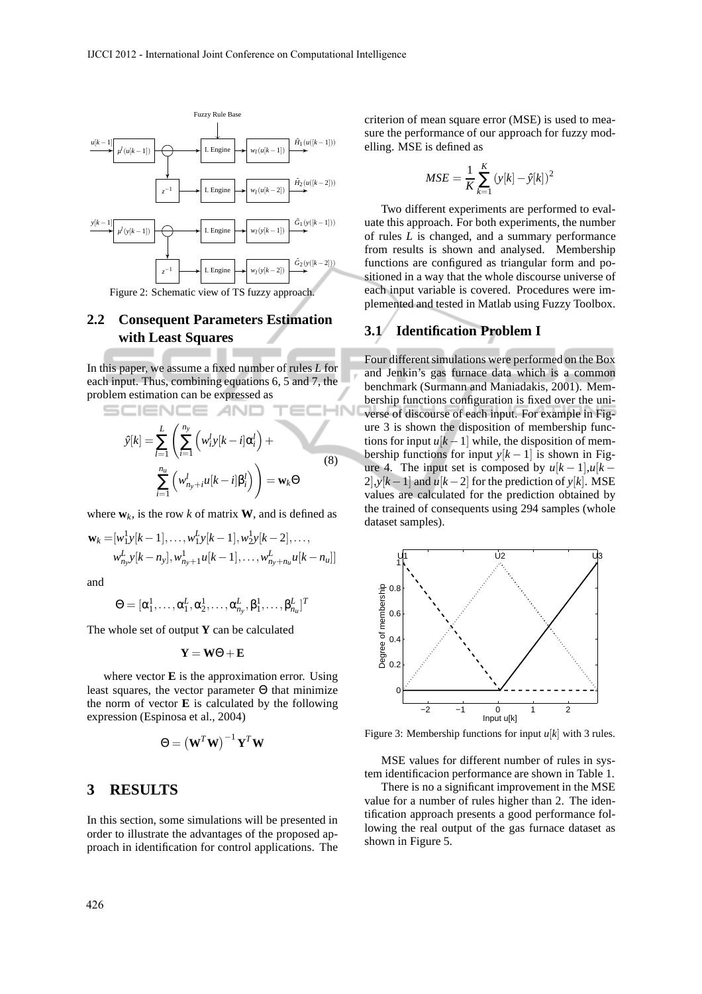

### **2.2 Consequent Parameters Estimation with Least Squares**

In this paper, we assume a fixed number of rules *L* for each input. Thus, combining equations 6, 5 and 7, the problem estimation can be expressed as

$$
\hat{y}[k] = \sum_{l=1}^{L} \left( \sum_{i=1}^{n_y} \left( w_i^l y[k-i] \alpha_i^l \right) + \sum_{i=1}^{n_u} \left( w_{n_y+i}^l u[k-i] \beta_i^l \right) \right) = \mathbf{w}_k \Theta
$$
\n(8)

 $200-1$ 

where  $w_k$ , is the row *k* of matrix **W**, and is defined as

$$
\mathbf{w}_{k} = [w_{1}^{1}y[k-1], \dots, w_{1}^{L}y[k-1], w_{2}^{1}y[k-2], \dots, \n w_{n_{y}}^{L}y[k-n_{y}], w_{n_{y}+1}^{1}u[k-1], \dots, w_{n_{y}+n_{u}}^{L}u[k-n_{u}]]
$$

and

$$
\Theta = [\alpha^1_1, \ldots, \alpha^L_1, \alpha^1_2, \ldots, \alpha^L_{n_y}, \beta^1_1, \ldots, \beta^L_{n_u}]^T
$$

The whole set of output **Y** can be calculated

$$
\mathbf{Y} = \mathbf{W}\boldsymbol{\Theta} + \mathbf{E}
$$

where vector **E** is the approximation error. Using least squares, the vector parameter Θ that minimize the norm of vector **E** is calculated by the following expression (Espinosa et al., 2004)

$$
\Theta = \left(\mathbf{W}^T \mathbf{W}\right)^{-1} \mathbf{Y}^T \mathbf{W}
$$

### **3 RESULTS**

In this section, some simulations will be presented in order to illustrate the advantages of the proposed approach in identification for control applications. The criterion of mean square error (MSE) is used to measure the performance of our approach for fuzzy modelling. MSE is defined as

$$
MSE = \frac{1}{K} \sum_{k=1}^{K} (y[k] - \hat{y}[k])^2
$$

Two different experiments are performed to evaluate this approach. For both experiments, the number of rules *L* is changed, and a summary performance from results is shown and analysed. Membership functions are configured as triangular form and positioned in a way that the whole discourse universe of each input variable is covered. Procedures were implemented and tested in Matlab using Fuzzy Toolbox.

#### **3.1 Identification Problem I**

Four different simulations were performed on the Box and Jenkin's gas furnace data which is a common benchmark (Surmann and Maniadakis, 2001). Membership functions configuration is fixed over the universe of discourse of each input. For example in Figure 3 is shown the disposition of membership functions for input  $u[k-1]$  while, the disposition of membership functions for input  $y[k-1]$  is shown in Figure 4. The input set is composed by  $u[k-1], u[k-1]$ 2],*y*[ $k$ −1] and  $u[k-2]$  for the prediction of *y*[ $k$ ]. MSE values are calculated for the prediction obtained by the trained of consequents using 294 samples (whole dataset samples).



Figure 3: Membership functions for input *u*[*k*] with 3 rules.

MSE values for different number of rules in system identificacion performance are shown in Table 1.

There is no a significant improvement in the MSE value for a number of rules higher than 2. The identification approach presents a good performance following the real output of the gas furnace dataset as shown in Figure 5.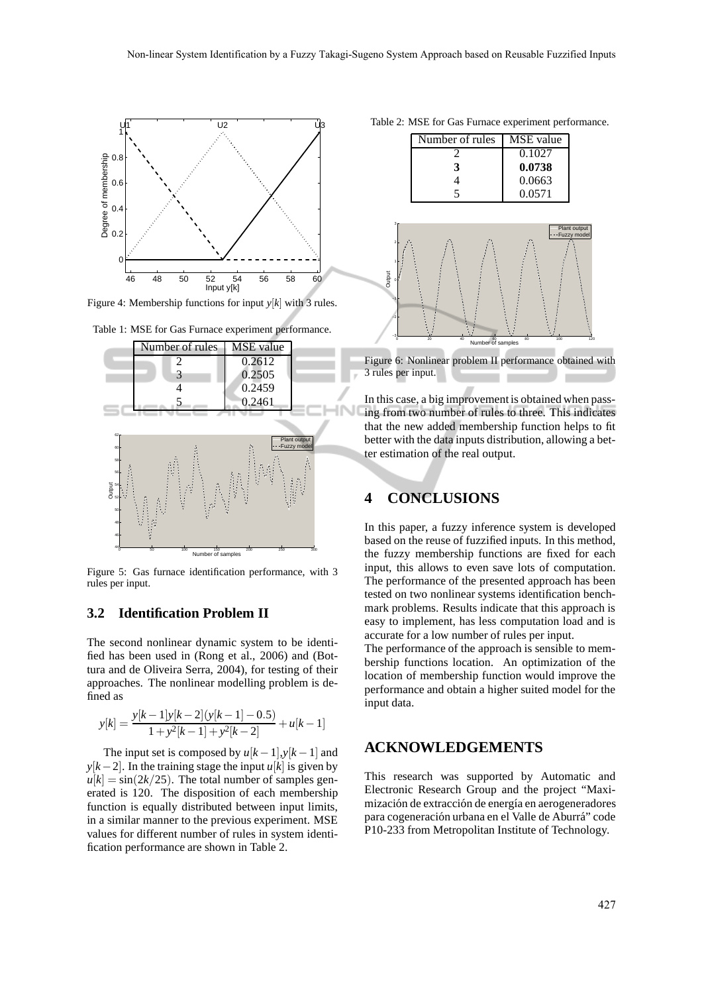

Figure 4: Membership functions for input *y*[*k*] with 3 rules.



Table 1: MSE for Gas Furnace experiment performance.

Figure 5: Gas furnace identification performance, with 3 rules per input.

### **3.2 Identification Problem II**

The second nonlinear dynamic system to be identified has been used in (Rong et al., 2006) and (Bottura and de Oliveira Serra, 2004), for testing of their approaches. The nonlinear modelling problem is defined as

$$
y[k] = \frac{y[k-1]y[k-2](y[k-1]-0.5)}{1+y^2[k-1]+y^2[k-2]} + u[k-1]
$$

The input set is composed by  $u[k-1], y[k-1]$  and *y*[ $k-2$ ]. In the training stage the input *u*[ $k$ ] is given by  $u[k] = \sin(2k/25)$ . The total number of samples generated is 120. The disposition of each membership function is equally distributed between input limits, in a similar manner to the previous experiment. MSE values for different number of rules in system identification performance are shown in Table 2.

|  |  | Table 2: MSE for Gas Furnace experiment performance. |
|--|--|------------------------------------------------------|
|  |  |                                                      |



Figure 6: Nonlinear problem II performance obtained with 3 rules per input.

In this case, a big improvement is obtained when passing from two number of rules to three. This indicates that the new added membership function helps to fit better with the data inputs distribution, allowing a better estimation of the real output.

# **4 CONCLUSIONS**

In this paper, a fuzzy inference system is developed based on the reuse of fuzzified inputs. In this method, the fuzzy membership functions are fixed for each input, this allows to even save lots of computation. The performance of the presented approach has been tested on two nonlinear systems identification benchmark problems. Results indicate that this approach is easy to implement, has less computation load and is accurate for a low number of rules per input.

The performance of the approach is sensible to membership functions location. An optimization of the location of membership function would improve the performance and obtain a higher suited model for the input data.

### **ACKNOWLEDGEMENTS**

This research was supported by Automatic and Electronic Research Group and the project "Maximización de extracción de energía en aerogeneradores para cogeneración urbana en el Valle de Aburrá" code P10-233 from Metropolitan Institute of Technology.